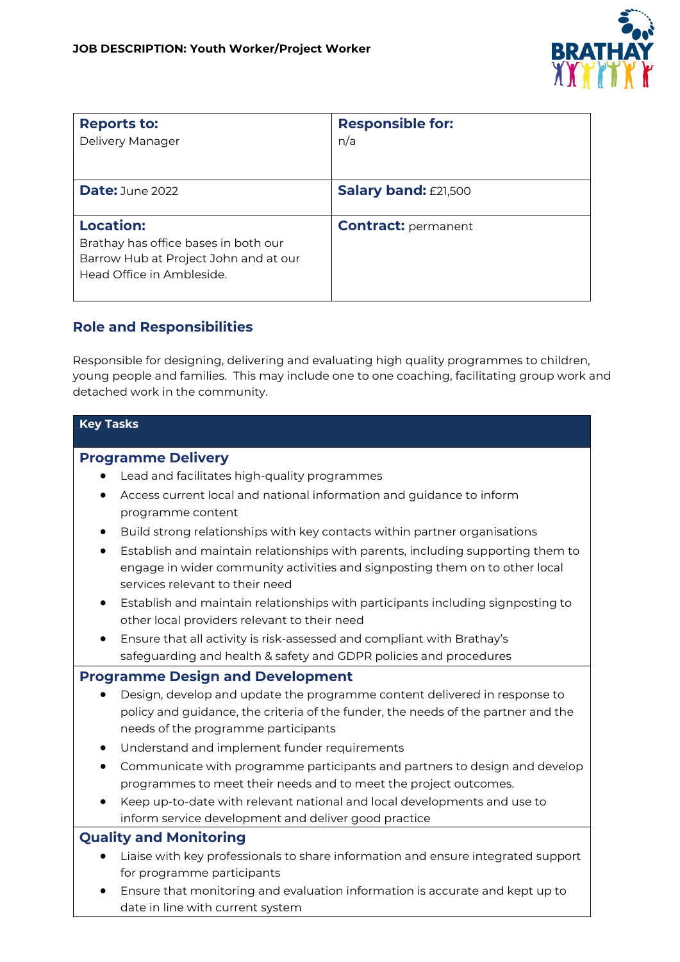

| <b>Reports to:</b><br>Delivery Manager                                                                                         | <b>Responsible for:</b><br>n/a |
|--------------------------------------------------------------------------------------------------------------------------------|--------------------------------|
| <b>Date:</b> June 2022                                                                                                         | <b>Salary band: £21,500</b>    |
| <b>Location:</b><br>Brathay has office bases in both our<br>Barrow Hub at Project John and at our<br>Head Office in Ambleside. | <b>Contract: permanent</b>     |

## **Role and Responsibilities**

Responsible for designing, delivering and evaluating high quality programmes to children, young people and families. This may include one to one coaching, facilitating group work and detached work in the community.

### **Key Tasks**

### **Programme Delivery**

- Lead and facilitates high-quality programmes
- Access current local and national information and guidance to inform programme content
- Build strong relationships with key contacts within partner organisations
- Establish and maintain relationships with parents, including supporting them to engage in wider community activities and signposting them on to other local services relevant to their need
- Establish and maintain relationships with participants including signposting to other local providers relevant to their need
- Ensure that all activity is risk-assessed and compliant with Brathay's safeguarding and health & safety and GDPR policies and procedures

### **Programme Design and Development**

- Design, develop and update the programme content delivered in response to policy and guidance, the criteria of the funder, the needs of the partner and the needs of the programme participants
- Understand and implement funder requirements
- Communicate with programme participants and partners to design and develop programmes to meet their needs and to meet the project outcomes.
- Keep up-to-date with relevant national and local developments and use to inform service development and deliver good practice

### **Quality and Monitoring**

- Liaise with key professionals to share information and ensure integrated support for programme participants
- Ensure that monitoring and evaluation information is accurate and kept up to date in line with current system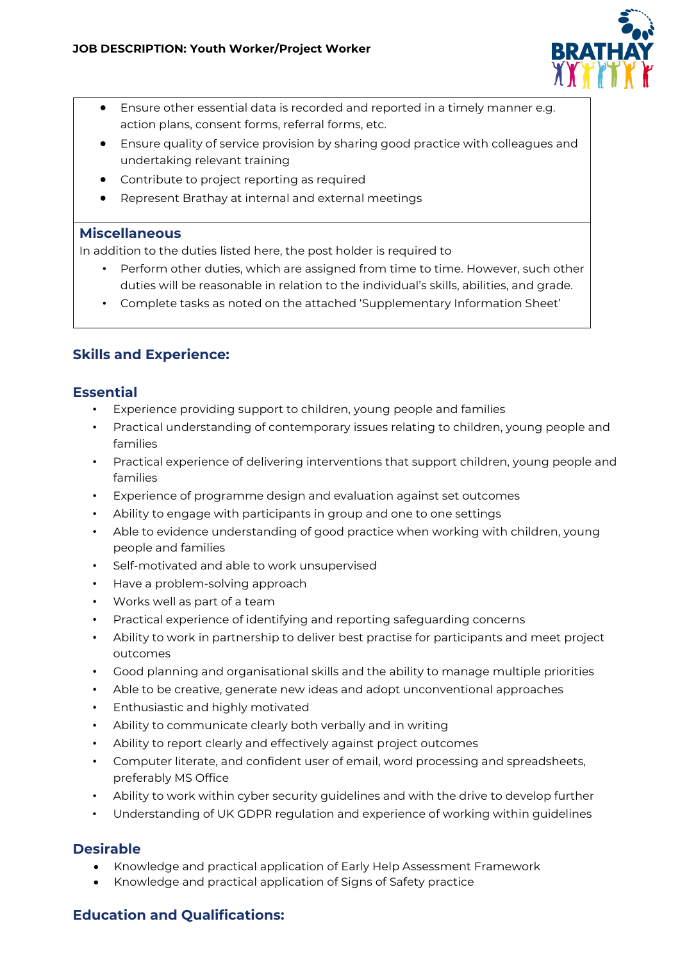

- Ensure other essential data is recorded and reported in a timely manner e.g. action plans, consent forms, referral forms, etc.
- Ensure quality of service provision by sharing good practice with colleagues and undertaking relevant training
- Contribute to project reporting as required
- Represent Brathay at internal and external meetings

### **Miscellaneous**

In addition to the duties listed here, the post holder is required to

- Perform other duties, which are assigned from time to time. However, such other duties will be reasonable in relation to the individual's skills, abilities, and grade.
- Complete tasks as noted on the attached 'Supplementary Information Sheet'

## **Skills and Experience:**

### **Essential**

- Experience providing support to children, young people and families
- Practical understanding of contemporary issues relating to children, young people and families
- Practical experience of delivering interventions that support children, young people and families
- Experience of programme design and evaluation against set outcomes
- Ability to engage with participants in group and one to one settings
- Able to evidence understanding of good practice when working with children, young people and families
- Self-motivated and able to work unsupervised
- Have a problem-solving approach
- Works well as part of a team
- Practical experience of identifying and reporting safeguarding concerns
- Ability to work in partnership to deliver best practise for participants and meet project outcomes
- Good planning and organisational skills and the ability to manage multiple priorities
- Able to be creative, generate new ideas and adopt unconventional approaches
- Enthusiastic and highly motivated
- Ability to communicate clearly both verbally and in writing
- Ability to report clearly and effectively against project outcomes
- Computer literate, and confident user of email, word processing and spreadsheets, preferably MS Office
- Ability to work within cyber security guidelines and with the drive to develop further
- Understanding of UK GDPR regulation and experience of working within guidelines

## **Desirable**

- Knowledge and practical application of Early Help Assessment Framework
- Knowledge and practical application of Signs of Safety practice

# **Education and Qualifications:**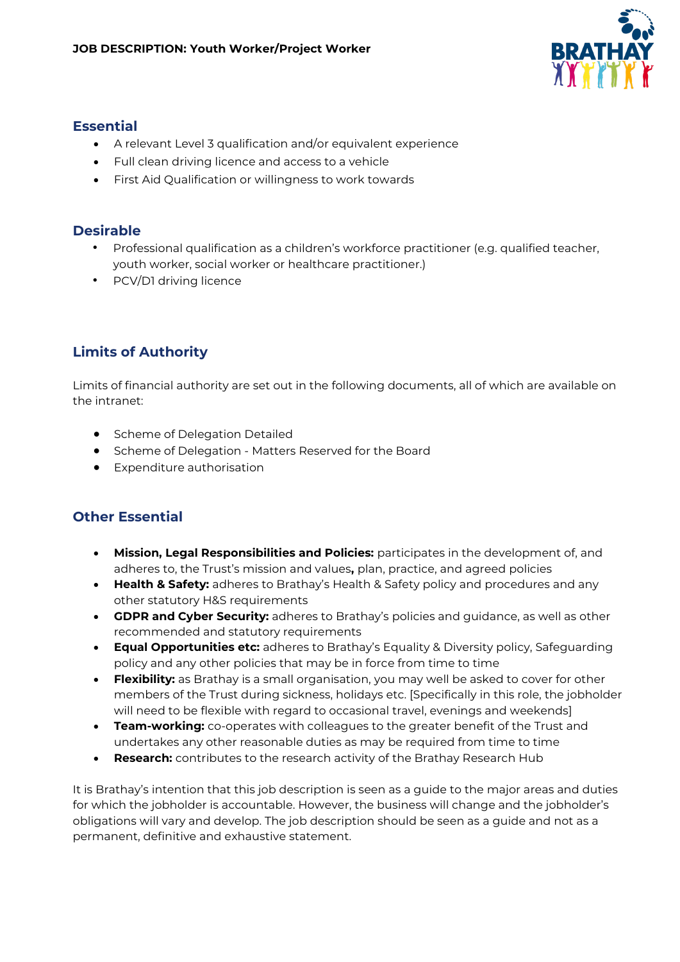

### **Essential**

- A relevant Level 3 qualification and/or equivalent experience
- Full clean driving licence and access to a vehicle
- First Aid Qualification or willingness to work towards

### **Desirable**

- Professional qualification as a children's workforce practitioner (e.g. qualified teacher, youth worker, social worker or healthcare practitioner.)
- PCV/D1 driving licence

# **Limits of Authority**

Limits of financial authority are set out in the following documents, all of which are available on the intranet:

- Scheme of Delegation Detailed
- Scheme of Delegation Matters Reserved for the Board
- Expenditure authorisation

# **Other Essential**

- **Mission, Legal Responsibilities and Policies:** participates in the development of, and adheres to, the Trust's mission and values**,** plan, practice, and agreed policies
- **Health & Safety:** adheres to Brathay's Health & Safety policy and procedures and any other statutory H&S requirements
- **GDPR and Cyber Security:** adheres to Brathay's policies and guidance, as well as other recommended and statutory requirements
- **Equal Opportunities etc:** adheres to Brathay's Equality & Diversity policy, Safeguarding policy and any other policies that may be in force from time to time
- **Flexibility:** as Brathay is a small organisation, you may well be asked to cover for other members of the Trust during sickness, holidays etc. [Specifically in this role, the jobholder will need to be flexible with regard to occasional travel, evenings and weekends]
- **Team-working:** co-operates with colleagues to the greater benefit of the Trust and undertakes any other reasonable duties as may be required from time to time
- **Research:** contributes to the research activity of the Brathay Research Hub

It is Brathay's intention that this job description is seen as a guide to the major areas and duties for which the jobholder is accountable. However, the business will change and the jobholder's obligations will vary and develop. The job description should be seen as a guide and not as a permanent, definitive and exhaustive statement.